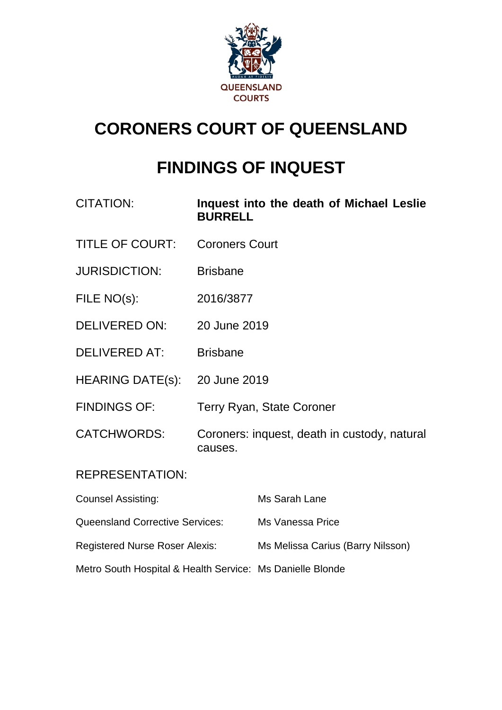

# **CORONERS COURT OF QUEENSLAND**

# **FINDINGS OF INQUEST**

| CITATION:               | Inquest into the death of Michael Leslie<br><b>BURRELL</b> |
|-------------------------|------------------------------------------------------------|
| <b>TITLE OF COURT:</b>  | <b>Coroners Court</b>                                      |
| <b>JURISDICTION:</b>    | <b>Brisbane</b>                                            |
| FILE NO(s):             | 2016/3877                                                  |
| <b>DELIVERED ON:</b>    | 20 June 2019                                               |
| <b>DELIVERED AT:</b>    | <b>Brisbane</b>                                            |
| <b>HEARING DATE(s):</b> | 20 June 2019                                               |
| <b>FINDINGS OF:</b>     | <b>Terry Ryan, State Coroner</b>                           |
| <b>CATCHWORDS:</b>      | Coroners: inquest, death in custody, natural<br>causes.    |
|                         |                                                            |

#### REPRESENTATION:

| <b>Counsel Assisting:</b>                                 | Ms Sarah Lane                     |
|-----------------------------------------------------------|-----------------------------------|
| <b>Queensland Corrective Services:</b>                    | Ms Vanessa Price                  |
| <b>Registered Nurse Roser Alexis:</b>                     | Ms Melissa Carius (Barry Nilsson) |
| Metro South Hospital & Health Service: Ms Danielle Blonde |                                   |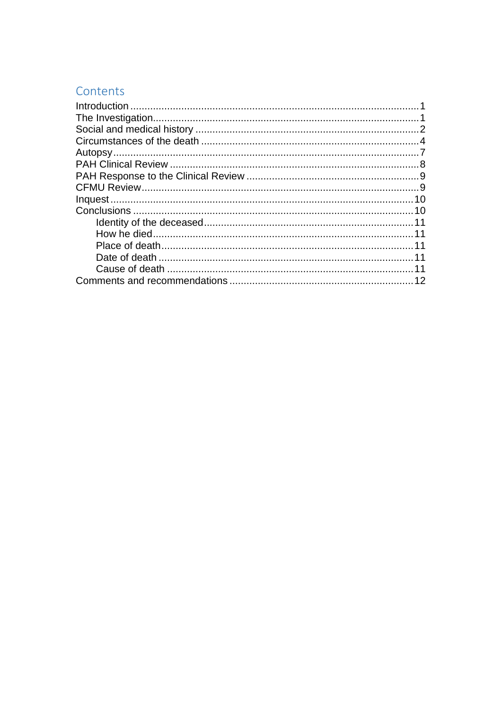## Contents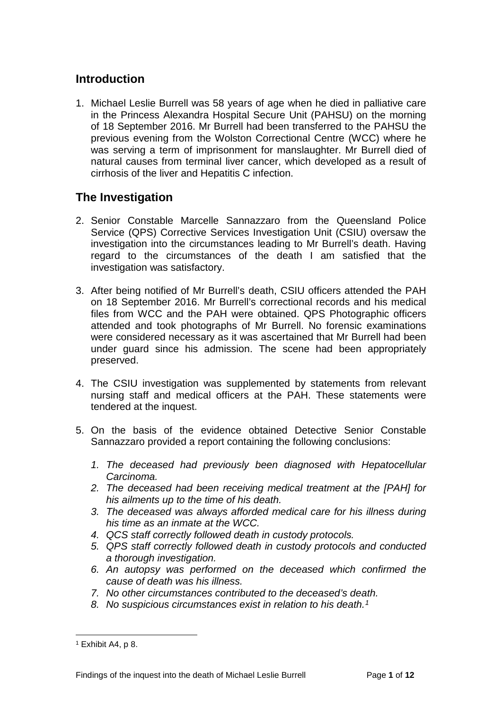#### <span id="page-2-0"></span>**Introduction**

1. Michael Leslie Burrell was 58 years of age when he died in palliative care in the Princess Alexandra Hospital Secure Unit (PAHSU) on the morning of 18 September 2016. Mr Burrell had been transferred to the PAHSU the previous evening from the Wolston Correctional Centre (WCC) where he was serving a term of imprisonment for manslaughter. Mr Burrell died of natural causes from terminal liver cancer, which developed as a result of cirrhosis of the liver and Hepatitis C infection.

#### <span id="page-2-1"></span>**The Investigation**

- 2. Senior Constable Marcelle Sannazzaro from the Queensland Police Service (QPS) Corrective Services Investigation Unit (CSIU) oversaw the investigation into the circumstances leading to Mr Burrell's death. Having regard to the circumstances of the death I am satisfied that the investigation was satisfactory.
- 3. After being notified of Mr Burrell's death, CSIU officers attended the PAH on 18 September 2016. Mr Burrell's correctional records and his medical files from WCC and the PAH were obtained. QPS Photographic officers attended and took photographs of Mr Burrell. No forensic examinations were considered necessary as it was ascertained that Mr Burrell had been under guard since his admission. The scene had been appropriately preserved.
- 4. The CSIU investigation was supplemented by statements from relevant nursing staff and medical officers at the PAH. These statements were tendered at the inquest.
- 5. On the basis of the evidence obtained Detective Senior Constable Sannazzaro provided a report containing the following conclusions:
	- *1. The deceased had previously been diagnosed with Hepatocellular Carcinoma.*
	- *2. The deceased had been receiving medical treatment at the [PAH] for his ailments up to the time of his death.*
	- *3. The deceased was always afforded medical care for his illness during his time as an inmate at the WCC.*
	- *4. QCS staff correctly followed death in custody protocols.*
	- *5. QPS staff correctly followed death in custody protocols and conducted a thorough investigation.*
	- *6. An autopsy was performed on the deceased which confirmed the cause of death was his illness.*
	- *7. No other circumstances contributed to the deceased's death.*
	- *8. No suspicious circumstances exist in relation to his death.[1](#page-2-2)*

<span id="page-2-2"></span> $1$  Exhibit A4, p 8.  $\overline{a}$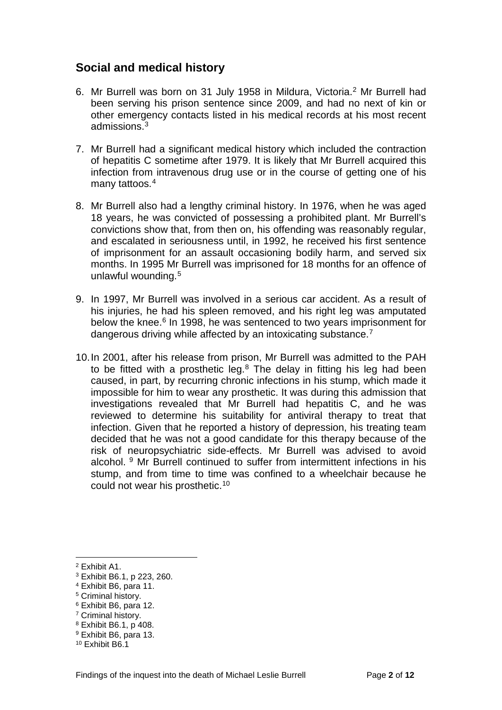#### <span id="page-3-0"></span>**Social and medical history**

- 6. Mr Burrell was born on 31 July 1958 in Mildura, Victoria.[2](#page-3-1) Mr Burrell had been serving his prison sentence since 2009, and had no next of kin or other emergency contacts listed in his medical records at his most recent admissions.[3](#page-3-2)
- 7. Mr Burrell had a significant medical history which included the contraction of hepatitis C sometime after 1979. It is likely that Mr Burrell acquired this infection from intravenous drug use or in the course of getting one of his many tattoos.<sup>[4](#page-3-3)</sup>
- 8. Mr Burrell also had a lengthy criminal history. In 1976, when he was aged 18 years, he was convicted of possessing a prohibited plant. Mr Burrell's convictions show that, from then on, his offending was reasonably regular, and escalated in seriousness until, in 1992, he received his first sentence of imprisonment for an assault occasioning bodily harm, and served six months. In 1995 Mr Burrell was imprisoned for 18 months for an offence of unlawful wounding.[5](#page-3-4)
- 9. In 1997, Mr Burrell was involved in a serious car accident. As a result of his injuries, he had his spleen removed, and his right leg was amputated below the knee.<sup>[6](#page-3-5)</sup> In 1998, he was sentenced to two years imprisonment for dangerous driving while affected by an intoxicating substance.<sup>[7](#page-3-6)</sup>
- 10.In 2001, after his release from prison, Mr Burrell was admitted to the PAH to be fitted with a prosthetic leg.<sup>[8](#page-3-7)</sup> The delay in fitting his leg had been caused, in part, by recurring chronic infections in his stump, which made it impossible for him to wear any prosthetic. It was during this admission that investigations revealed that Mr Burrell had hepatitis C, and he was reviewed to determine his suitability for antiviral therapy to treat that infection. Given that he reported a history of depression, his treating team decided that he was not a good candidate for this therapy because of the risk of neuropsychiatric side-effects. Mr Burrell was advised to avoid alcohol. [9](#page-3-8) Mr Burrell continued to suffer from intermittent infections in his stump, and from time to time was confined to a wheelchair because he could not wear his prosthetic.[10](#page-3-9)

<sup>2</sup> Exhibit A1.  $\overline{a}$ 

<span id="page-3-2"></span><span id="page-3-1"></span><sup>3</sup> Exhibit B6.1, p 223, 260.

<span id="page-3-3"></span><sup>4</sup> Exhibit B6, para 11.

<span id="page-3-4"></span><sup>5</sup> Criminal history.

<span id="page-3-5"></span><sup>6</sup> Exhibit B6, para 12.

<span id="page-3-6"></span><sup>7</sup> Criminal history.

<sup>8</sup> Exhibit B6.1, p 408.

<span id="page-3-8"></span><span id="page-3-7"></span><sup>9</sup> Exhibit B6, para 13.

<span id="page-3-9"></span><sup>10</sup> Exhibit B6.1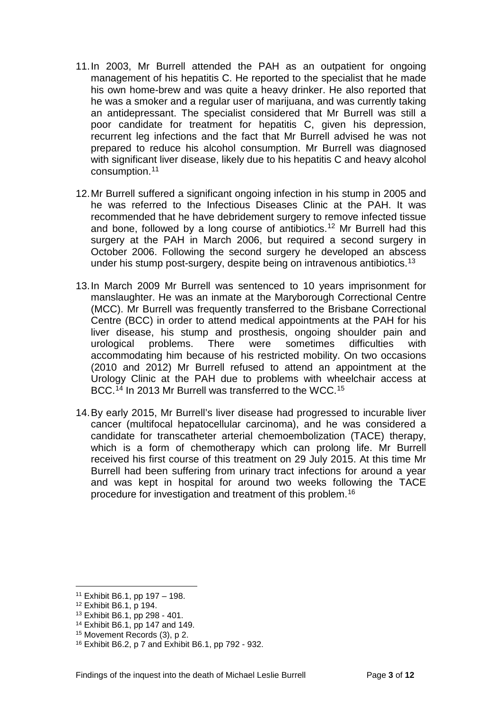- 11.In 2003, Mr Burrell attended the PAH as an outpatient for ongoing management of his hepatitis C. He reported to the specialist that he made his own home-brew and was quite a heavy drinker. He also reported that he was a smoker and a regular user of marijuana, and was currently taking an antidepressant. The specialist considered that Mr Burrell was still a poor candidate for treatment for hepatitis C, given his depression, recurrent leg infections and the fact that Mr Burrell advised he was not prepared to reduce his alcohol consumption. Mr Burrell was diagnosed with significant liver disease, likely due to his hepatitis C and heavy alcohol consumption.[11](#page-4-0)
- 12.Mr Burrell suffered a significant ongoing infection in his stump in 2005 and he was referred to the Infectious Diseases Clinic at the PAH. It was recommended that he have debridement surgery to remove infected tissue and bone, followed by a long course of antibiotics.[12](#page-4-1) Mr Burrell had this surgery at the PAH in March 2006, but required a second surgery in October 2006. Following the second surgery he developed an abscess under his stump post-surgery, despite being on intravenous antibiotics.[13](#page-4-2)
- 13.In March 2009 Mr Burrell was sentenced to 10 years imprisonment for manslaughter. He was an inmate at the Maryborough Correctional Centre (MCC). Mr Burrell was frequently transferred to the Brisbane Correctional Centre (BCC) in order to attend medical appointments at the PAH for his liver disease, his stump and prosthesis, ongoing shoulder pain and urological problems. There were sometimes difficulties with accommodating him because of his restricted mobility. On two occasions (2010 and 2012) Mr Burrell refused to attend an appointment at the Urology Clinic at the PAH due to problems with wheelchair access at BCC.<sup>[14](#page-4-3)</sup> In 2013 Mr Burrell was transferred to the WCC.<sup>[15](#page-4-4)</sup>
- 14.By early 2015, Mr Burrell's liver disease had progressed to incurable liver cancer (multifocal hepatocellular carcinoma), and he was considered a candidate for transcatheter arterial chemoembolization (TACE) therapy, which is a form of chemotherapy which can prolong life. Mr Burrell received his first course of this treatment on 29 July 2015. At this time Mr Burrell had been suffering from urinary tract infections for around a year and was kept in hospital for around two weeks following the TACE procedure for investigation and treatment of this problem.[16](#page-4-5)

<sup>11</sup> Exhibit B6.1, pp 197 – 198.  $\overline{a}$ 

<span id="page-4-1"></span><span id="page-4-0"></span><sup>12</sup> Exhibit B6.1, p 194.

<span id="page-4-2"></span><sup>13</sup> Exhibit B6.1, pp 298 - 401.

<span id="page-4-3"></span><sup>14</sup> Exhibit B6.1, pp 147 and 149.

<span id="page-4-4"></span><sup>15</sup> Movement Records (3), p 2.

<span id="page-4-5"></span><sup>16</sup> Exhibit B6.2, p 7 and Exhibit B6.1, pp 792 - 932.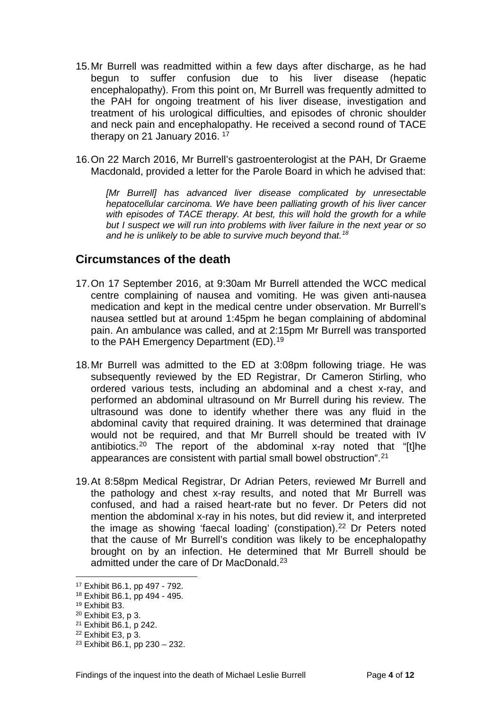- 15.Mr Burrell was readmitted within a few days after discharge, as he had begun to suffer confusion due to his liver disease (hepatic encephalopathy). From this point on, Mr Burrell was frequently admitted to the PAH for ongoing treatment of his liver disease, investigation and treatment of his urological difficulties, and episodes of chronic shoulder and neck pain and encephalopathy. He received a second round of TACE therapy on 21 January 2016.<sup>[17](#page-5-1)</sup>
- 16.On 22 March 2016, Mr Burrell's gastroenterologist at the PAH, Dr Graeme Macdonald, provided a letter for the Parole Board in which he advised that:

[Mr Burrell] has advanced liver disease complicated by unresectable *hepatocellular carcinoma. We have been palliating growth of his liver cancer*  with episodes of TACE therapy. At best, this will hold the growth for a while *but I suspect we will run into problems with liver failure in the next year or so and he is unlikely to be able to survive much beyond that.[18](#page-5-2)*

#### <span id="page-5-0"></span>**Circumstances of the death**

- 17.On 17 September 2016, at 9:30am Mr Burrell attended the WCC medical centre complaining of nausea and vomiting. He was given anti-nausea medication and kept in the medical centre under observation. Mr Burrell's nausea settled but at around 1:45pm he began complaining of abdominal pain. An ambulance was called, and at 2:15pm Mr Burrell was transported to the PAH Emergency Department (ED).<sup>[19](#page-5-3)</sup>
- 18.Mr Burrell was admitted to the ED at 3:08pm following triage. He was subsequently reviewed by the ED Registrar, Dr Cameron Stirling, who ordered various tests, including an abdominal and a chest x-ray, and performed an abdominal ultrasound on Mr Burrell during his review. The ultrasound was done to identify whether there was any fluid in the abdominal cavity that required draining. It was determined that drainage would not be required, and that Mr Burrell should be treated with IV antibiotics.[20](#page-5-4) The report of the abdominal x-ray noted that "[t]he appearances are consistent with partial small bowel obstruction".[21](#page-5-5)
- 19.At 8:58pm Medical Registrar, Dr Adrian Peters, reviewed Mr Burrell and the pathology and chest x-ray results, and noted that Mr Burrell was confused, and had a raised heart-rate but no fever. Dr Peters did not mention the abdominal x-ray in his notes, but did review it, and interpreted the image as showing 'faecal loading' (constipation).<sup>22</sup> Dr Peters noted that the cause of Mr Burrell's condition was likely to be encephalopathy brought on by an infection. He determined that Mr Burrell should be admitted under the care of Dr MacDonald.<sup>[23](#page-5-7)</sup>

<span id="page-5-1"></span><sup>17</sup> Exhibit B6.1, pp 497 - 792.

<span id="page-5-2"></span><sup>18</sup> Exhibit B6.1, pp 494 - 495.

<span id="page-5-3"></span><sup>19</sup> Exhibit B3.

<span id="page-5-4"></span><sup>20</sup> Exhibit E3, p 3.

<span id="page-5-5"></span><sup>21</sup> Exhibit B6.1, p 242.

<span id="page-5-6"></span><sup>22</sup> Exhibit E3, p 3.

<span id="page-5-7"></span><sup>23</sup> Exhibit B6.1, pp 230 – 232.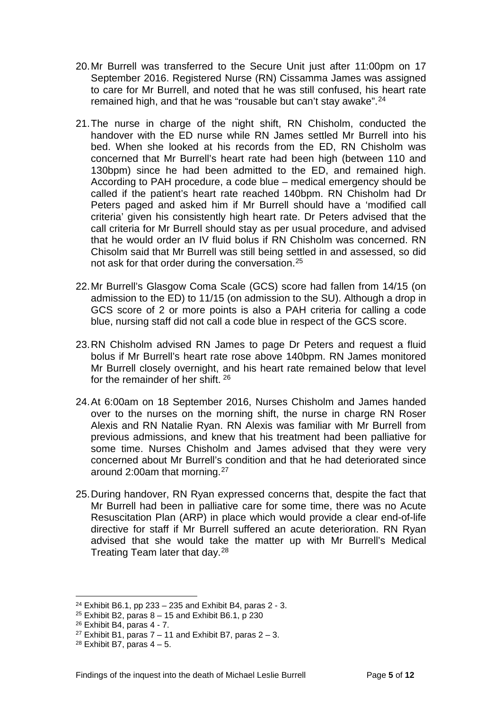- 20.Mr Burrell was transferred to the Secure Unit just after 11:00pm on 17 September 2016. Registered Nurse (RN) Cissamma James was assigned to care for Mr Burrell, and noted that he was still confused, his heart rate remained high, and that he was "rousable but can't stay awake".[24](#page-6-0)
- 21.The nurse in charge of the night shift, RN Chisholm, conducted the handover with the ED nurse while RN James settled Mr Burrell into his bed. When she looked at his records from the ED, RN Chisholm was concerned that Mr Burrell's heart rate had been high (between 110 and 130bpm) since he had been admitted to the ED, and remained high. According to PAH procedure, a code blue – medical emergency should be called if the patient's heart rate reached 140bpm. RN Chisholm had Dr Peters paged and asked him if Mr Burrell should have a 'modified call criteria' given his consistently high heart rate. Dr Peters advised that the call criteria for Mr Burrell should stay as per usual procedure, and advised that he would order an IV fluid bolus if RN Chisholm was concerned. RN Chisolm said that Mr Burrell was still being settled in and assessed, so did not ask for that order during the conversation.[25](#page-6-1)
- 22.Mr Burrell's Glasgow Coma Scale (GCS) score had fallen from 14/15 (on admission to the ED) to 11/15 (on admission to the SU). Although a drop in GCS score of 2 or more points is also a PAH criteria for calling a code blue, nursing staff did not call a code blue in respect of the GCS score.
- 23.RN Chisholm advised RN James to page Dr Peters and request a fluid bolus if Mr Burrell's heart rate rose above 140bpm. RN James monitored Mr Burrell closely overnight, and his heart rate remained below that level for the remainder of her shift. [26](#page-6-2)
- 24.At 6:00am on 18 September 2016, Nurses Chisholm and James handed over to the nurses on the morning shift, the nurse in charge RN Roser Alexis and RN Natalie Ryan. RN Alexis was familiar with Mr Burrell from previous admissions, and knew that his treatment had been palliative for some time. Nurses Chisholm and James advised that they were very concerned about Mr Burrell's condition and that he had deteriorated since around 2:00am that morning.[27](#page-6-3)
- 25.During handover, RN Ryan expressed concerns that, despite the fact that Mr Burrell had been in palliative care for some time, there was no Acute Resuscitation Plan (ARP) in place which would provide a clear end-of-life directive for staff if Mr Burrell suffered an acute deterioration. RN Ryan advised that she would take the matter up with Mr Burrell's Medical Treating Team later that day.[28](#page-6-4)

<span id="page-6-0"></span><sup>&</sup>lt;sup>24</sup> Exhibit B6.1, pp 233 – 235 and Exhibit B4, paras  $2 - 3$ .

<span id="page-6-1"></span><sup>&</sup>lt;sup>25</sup> Exhibit B2, paras  $8 - 15$  and Exhibit B6.1, p 230

<span id="page-6-2"></span><sup>26</sup> Exhibit B4, paras 4 - 7.

<span id="page-6-3"></span><sup>&</sup>lt;sup>27</sup> Exhibit B1, paras  $7 - 11$  and Exhibit B7, paras  $2 - 3$ .

<span id="page-6-4"></span> $28$  Exhibit B7, paras  $4 - 5$ .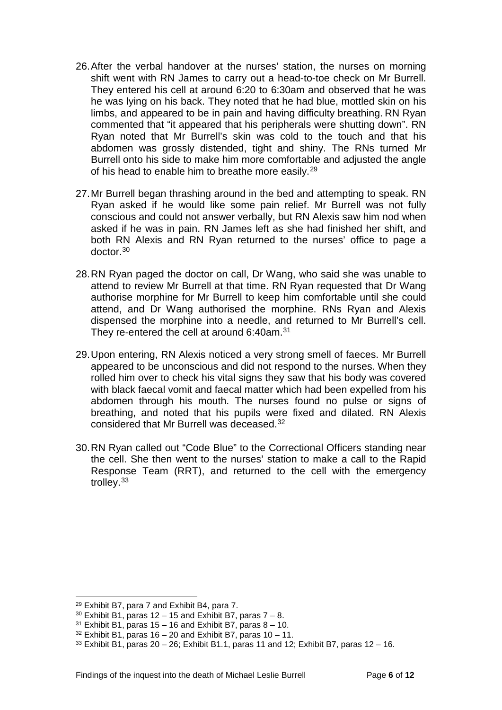- 26.After the verbal handover at the nurses' station, the nurses on morning shift went with RN James to carry out a head-to-toe check on Mr Burrell. They entered his cell at around 6:20 to 6:30am and observed that he was he was lying on his back. They noted that he had blue, mottled skin on his limbs, and appeared to be in pain and having difficulty breathing. RN Ryan commented that "it appeared that his peripherals were shutting down". RN Ryan noted that Mr Burrell's skin was cold to the touch and that his abdomen was grossly distended, tight and shiny. The RNs turned Mr Burrell onto his side to make him more comfortable and adjusted the angle of his head to enable him to breathe more easily.<sup>[29](#page-7-0)</sup>
- 27.Mr Burrell began thrashing around in the bed and attempting to speak. RN Ryan asked if he would like some pain relief. Mr Burrell was not fully conscious and could not answer verbally, but RN Alexis saw him nod when asked if he was in pain. RN James left as she had finished her shift, and both RN Alexis and RN Ryan returned to the nurses' office to page a doctor.[30](#page-7-1)
- 28.RN Ryan paged the doctor on call, Dr Wang, who said she was unable to attend to review Mr Burrell at that time. RN Ryan requested that Dr Wang authorise morphine for Mr Burrell to keep him comfortable until she could attend, and Dr Wang authorised the morphine. RNs Ryan and Alexis dispensed the morphine into a needle, and returned to Mr Burrell's cell. They re-entered the cell at around 6:40am.<sup>[31](#page-7-2)</sup>
- 29.Upon entering, RN Alexis noticed a very strong smell of faeces. Mr Burrell appeared to be unconscious and did not respond to the nurses. When they rolled him over to check his vital signs they saw that his body was covered with black faecal vomit and faecal matter which had been expelled from his abdomen through his mouth. The nurses found no pulse or signs of breathing, and noted that his pupils were fixed and dilated. RN Alexis considered that Mr Burrell was deceased.[32](#page-7-3)
- 30.RN Ryan called out "Code Blue" to the Correctional Officers standing near the cell. She then went to the nurses' station to make a call to the Rapid Response Team (RRT), and returned to the cell with the emergency trolley.[33](#page-7-4)

<span id="page-7-0"></span><sup>29</sup> Exhibit B7, para 7 and Exhibit B4, para 7.

<span id="page-7-1"></span> $30$  Exhibit B1, paras 12 – 15 and Exhibit B7, paras  $7 - 8$ .

<span id="page-7-2"></span> $31$  Exhibit B1, paras 15 – 16 and Exhibit B7, paras 8 – 10.

<span id="page-7-3"></span> $32$  Exhibit B1, paras 16 – 20 and Exhibit B7, paras 10 – 11.

<span id="page-7-4"></span> $33$  Exhibit B1, paras  $20 - 26$ ; Exhibit B1.1, paras 11 and 12; Exhibit B7, paras 12 – 16.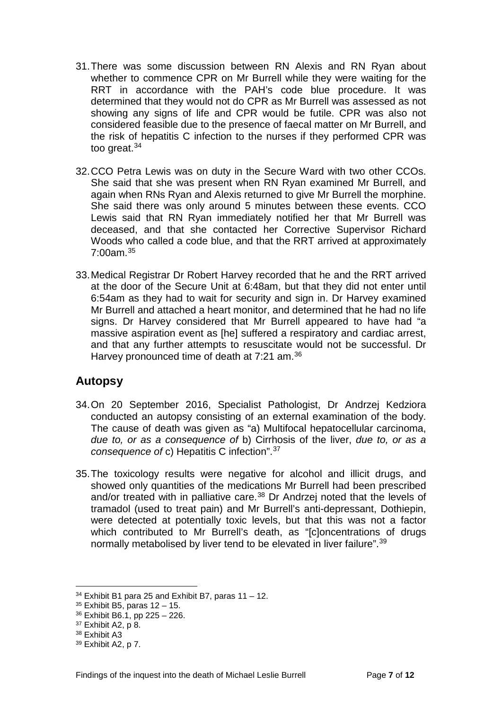- 31.There was some discussion between RN Alexis and RN Ryan about whether to commence CPR on Mr Burrell while they were waiting for the RRT in accordance with the PAH's code blue procedure. It was determined that they would not do CPR as Mr Burrell was assessed as not showing any signs of life and CPR would be futile. CPR was also not considered feasible due to the presence of faecal matter on Mr Burrell, and the risk of hepatitis C infection to the nurses if they performed CPR was too great.<sup>[34](#page-8-1)</sup>
- 32.CCO Petra Lewis was on duty in the Secure Ward with two other CCOs. She said that she was present when RN Ryan examined Mr Burrell, and again when RNs Ryan and Alexis returned to give Mr Burrell the morphine. She said there was only around 5 minutes between these events. CCO Lewis said that RN Ryan immediately notified her that Mr Burrell was deceased, and that she contacted her Corrective Supervisor Richard Woods who called a code blue, and that the RRT arrived at approximately  $7:00$ am  $35$
- 33.Medical Registrar Dr Robert Harvey recorded that he and the RRT arrived at the door of the Secure Unit at 6:48am, but that they did not enter until 6:54am as they had to wait for security and sign in. Dr Harvey examined Mr Burrell and attached a heart monitor, and determined that he had no life signs. Dr Harvey considered that Mr Burrell appeared to have had "a massive aspiration event as [he] suffered a respiratory and cardiac arrest, and that any further attempts to resuscitate would not be successful. Dr Harvey pronounced time of death at 7:21 am.[36](#page-8-3)

#### <span id="page-8-0"></span>**Autopsy**

- 34.On 20 September 2016, Specialist Pathologist, Dr Andrzej Kedziora conducted an autopsy consisting of an external examination of the body. The cause of death was given as "a) Multifocal hepatocellular carcinoma, *due to, or as a consequence of* b) Cirrhosis of the liver, *due to, or as a consequence of* c) Hepatitis C infection".[37](#page-8-4)
- 35.The toxicology results were negative for alcohol and illicit drugs, and showed only quantities of the medications Mr Burrell had been prescribed and/or treated with in palliative care.<sup>[38](#page-8-5)</sup> Dr Andrzej noted that the levels of tramadol (used to treat pain) and Mr Burrell's anti-depressant, Dothiepin, were detected at potentially toxic levels, but that this was not a factor which contributed to Mr Burrell's death, as "[c]oncentrations of drugs normally metabolised by liver tend to be elevated in liver failure".<sup>[39](#page-8-6)</sup>

 $34$  Exhibit B1 para 25 and Exhibit B7, paras 11 – 12.  $\overline{a}$ 

<span id="page-8-2"></span><span id="page-8-1"></span> $35$  Exhibit B5, paras  $12 - 15$ .

<span id="page-8-3"></span><sup>36</sup> Exhibit B6.1, pp 225 – 226.

<span id="page-8-4"></span><sup>37</sup> Exhibit A2, p 8.

<span id="page-8-5"></span><sup>38</sup> Exhibit A3

<span id="page-8-6"></span><sup>39</sup> Exhibit A2, p 7.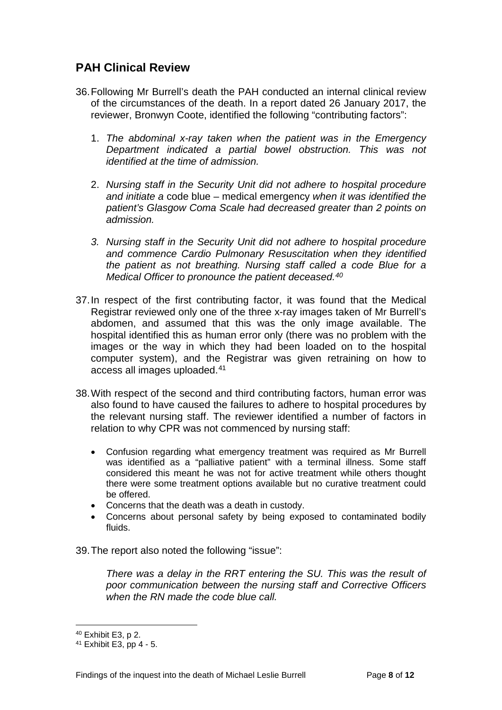### <span id="page-9-0"></span>**PAH Clinical Review**

- 36.Following Mr Burrell's death the PAH conducted an internal clinical review of the circumstances of the death. In a report dated 26 January 2017, the reviewer, Bronwyn Coote, identified the following "contributing factors":
	- 1. *The abdominal x-ray taken when the patient was in the Emergency Department indicated a partial bowel obstruction. This was not identified at the time of admission.*
	- 2. *Nursing staff in the Security Unit did not adhere to hospital procedure and initiate a* code blue – medical emergency *when it was identified the patient's Glasgow Coma Scale had decreased greater than 2 points on admission.*
	- *3. Nursing staff in the Security Unit did not adhere to hospital procedure and commence Cardio Pulmonary Resuscitation when they identified the patient as not breathing. Nursing staff called a code Blue for a Medical Officer to pronounce the patient deceased.[40](#page-9-1)*
- 37.In respect of the first contributing factor, it was found that the Medical Registrar reviewed only one of the three x-ray images taken of Mr Burrell's abdomen, and assumed that this was the only image available. The hospital identified this as human error only (there was no problem with the images or the way in which they had been loaded on to the hospital computer system), and the Registrar was given retraining on how to access all images uploaded.[41](#page-9-2)
- 38.With respect of the second and third contributing factors, human error was also found to have caused the failures to adhere to hospital procedures by the relevant nursing staff. The reviewer identified a number of factors in relation to why CPR was not commenced by nursing staff:
	- Confusion regarding what emergency treatment was required as Mr Burrell was identified as a "palliative patient" with a terminal illness. Some staff considered this meant he was not for active treatment while others thought there were some treatment options available but no curative treatment could be offered.
	- Concerns that the death was a death in custody.
	- Concerns about personal safety by being exposed to contaminated bodily fluids.

39.The report also noted the following "issue":

*There was a delay in the RRT entering the SU. This was the result of poor communication between the nursing staff and Corrective Officers when the RN made the code blue call.*

<span id="page-9-1"></span><sup>40</sup> Exhibit E3, p 2.

<span id="page-9-2"></span><sup>41</sup> Exhibit E3, pp 4 - 5.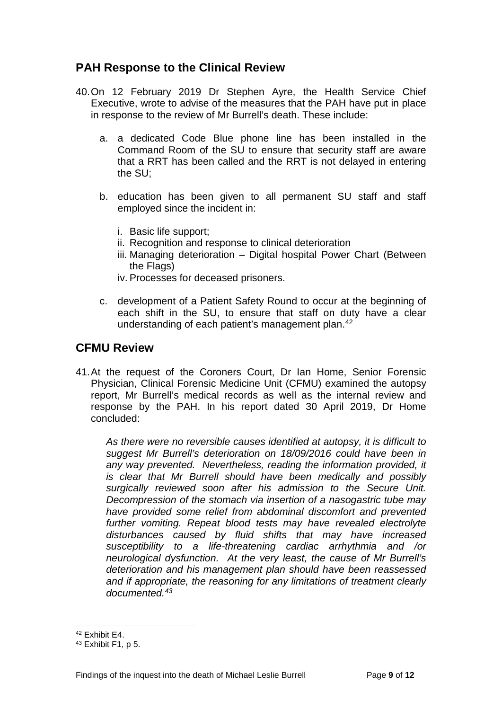#### <span id="page-10-0"></span>**PAH Response to the Clinical Review**

- 40.On 12 February 2019 Dr Stephen Ayre, the Health Service Chief Executive, wrote to advise of the measures that the PAH have put in place in response to the review of Mr Burrell's death. These include:
	- a. a dedicated Code Blue phone line has been installed in the Command Room of the SU to ensure that security staff are aware that a RRT has been called and the RRT is not delayed in entering the SU;
	- b. education has been given to all permanent SU staff and staff employed since the incident in:
		- i. Basic life support;
		- ii. Recognition and response to clinical deterioration
		- iii. Managing deterioration Digital hospital Power Chart (Between the Flags)

iv. Processes for deceased prisoners.

c. development of a Patient Safety Round to occur at the beginning of each shift in the SU, to ensure that staff on duty have a clear understanding of each patient's management plan.[42](#page-10-2)

#### <span id="page-10-1"></span>**CFMU Review**

41.At the request of the Coroners Court, Dr Ian Home, Senior Forensic Physician, Clinical Forensic Medicine Unit (CFMU) examined the autopsy report, Mr Burrell's medical records as well as the internal review and response by the PAH. In his report dated 30 April 2019, Dr Home concluded:

*As there were no reversible causes identified at autopsy, it is difficult to suggest Mr Burrell's deterioration on 18/09/2016 could have been in any way prevented. Nevertheless, reading the information provided, it is clear that Mr Burrell should have been medically and possibly surgically reviewed soon after his admission to the Secure Unit. Decompression of the stomach via insertion of a nasogastric tube may have provided some relief from abdominal discomfort and prevented further vomiting. Repeat blood tests may have revealed electrolyte disturbances caused by fluid shifts that may have increased susceptibility to a life-threatening cardiac arrhythmia and /or neurological dysfunction. At the very least, the cause of Mr Burrell's deterioration and his management plan should have been reassessed and if appropriate, the reasoning for any limitations of treatment clearly documented.[43](#page-10-3)*

<sup>42</sup> Exhibit E4.  $\overline{a}$ 

<span id="page-10-3"></span><span id="page-10-2"></span><sup>43</sup> Exhibit F1, p 5.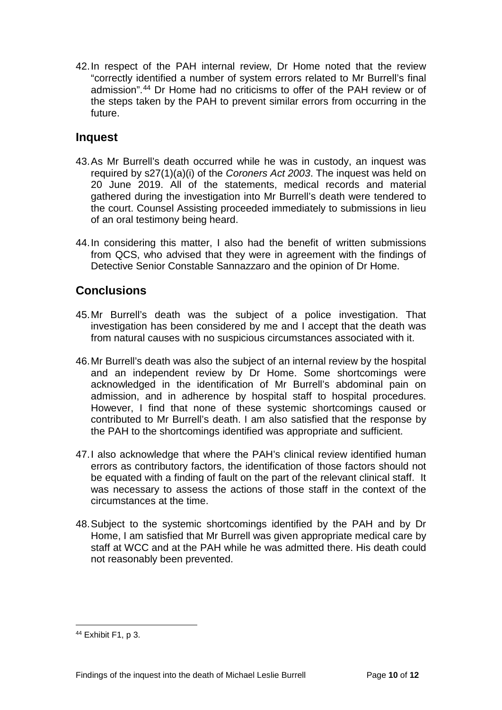42.In respect of the PAH internal review, Dr Home noted that the review "correctly identified a number of system errors related to Mr Burrell's final admission".[44](#page-11-2) Dr Home had no criticisms to offer of the PAH review or of the steps taken by the PAH to prevent similar errors from occurring in the future.

#### <span id="page-11-0"></span>**Inquest**

- 43.As Mr Burrell's death occurred while he was in custody, an inquest was required by s27(1)(a)(i) of the *Coroners Act 2003*. The inquest was held on 20 June 2019. All of the statements, medical records and material gathered during the investigation into Mr Burrell's death were tendered to the court. Counsel Assisting proceeded immediately to submissions in lieu of an oral testimony being heard.
- 44.In considering this matter, I also had the benefit of written submissions from QCS, who advised that they were in agreement with the findings of Detective Senior Constable Sannazzaro and the opinion of Dr Home.

### <span id="page-11-1"></span>**Conclusions**

- 45.Mr Burrell's death was the subject of a police investigation. That investigation has been considered by me and I accept that the death was from natural causes with no suspicious circumstances associated with it.
- 46.Mr Burrell's death was also the subject of an internal review by the hospital and an independent review by Dr Home. Some shortcomings were acknowledged in the identification of Mr Burrell's abdominal pain on admission, and in adherence by hospital staff to hospital procedures. However, I find that none of these systemic shortcomings caused or contributed to Mr Burrell's death. I am also satisfied that the response by the PAH to the shortcomings identified was appropriate and sufficient.
- 47.I also acknowledge that where the PAH's clinical review identified human errors as contributory factors, the identification of those factors should not be equated with a finding of fault on the part of the relevant clinical staff. It was necessary to assess the actions of those staff in the context of the circumstances at the time.
- 48.Subject to the systemic shortcomings identified by the PAH and by Dr Home, I am satisfied that Mr Burrell was given appropriate medical care by staff at WCC and at the PAH while he was admitted there. His death could not reasonably been prevented.

<span id="page-11-2"></span><sup>44</sup> Exhibit F1, p 3.  $\overline{a}$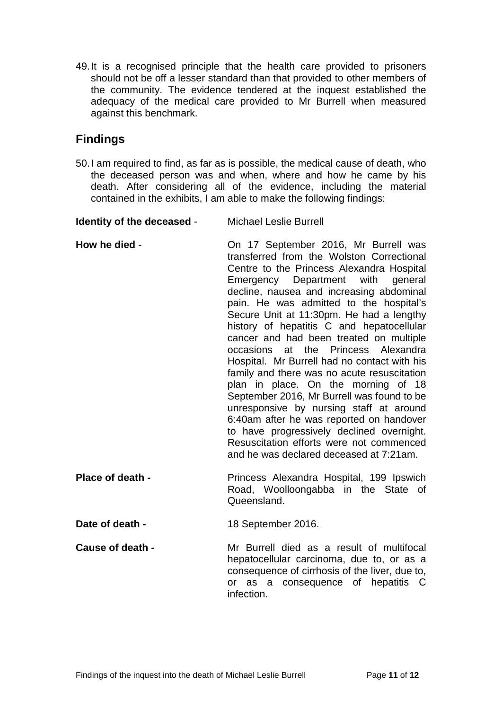49.It is a recognised principle that the health care provided to prisoners should not be off a lesser standard than that provided to other members of the community. The evidence tendered at the inquest established the adequacy of the medical care provided to Mr Burrell when measured against this benchmark.

#### **Findings**

50.I am required to find, as far as is possible, the medical cause of death, who the deceased person was and when, where and how he came by his death. After considering all of the evidence, including the material contained in the exhibits, I am able to make the following findings:

<span id="page-12-0"></span>**Identity of the deceased** - Michael Leslie Burrell

- <span id="page-12-1"></span>**How he died** - On 17 September 2016, Mr Burrell was transferred from the Wolston Correctional Centre to the Princess Alexandra Hospital Emergency Department with general decline, nausea and increasing abdominal pain. He was admitted to the hospital's Secure Unit at 11:30pm. He had a lengthy history of hepatitis C and hepatocellular cancer and had been treated on multiple occasions at the Princess Alexandra Hospital. Mr Burrell had no contact with his family and there was no acute resuscitation plan in place. On the morning of 18 September 2016, Mr Burrell was found to be unresponsive by nursing staff at around 6:40am after he was reported on handover to have progressively declined overnight. Resuscitation efforts were not commenced and he was declared deceased at 7:21am.
- <span id="page-12-2"></span>**Place of death -** Princess Alexandra Hospital, 199 Ipswich Road, Woolloongabba in the State of Queensland.

<span id="page-12-3"></span>**Date of death -** 18 September 2016.

<span id="page-12-4"></span>**Cause of death -** Mr Burrell died as a result of multifocal hepatocellular carcinoma, due to, or as a consequence of cirrhosis of the liver, due to, or as a consequence of hepatitis C infection.